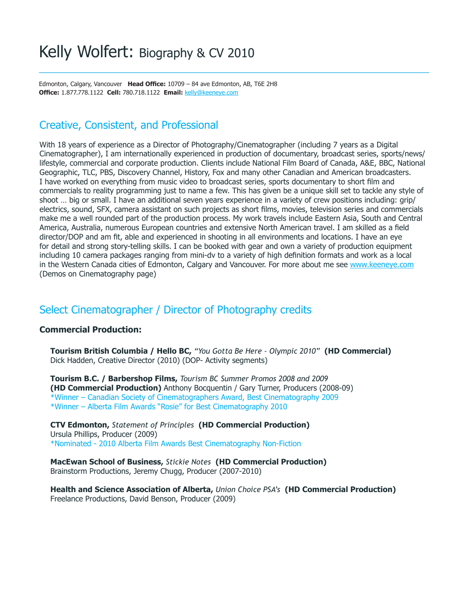Edmonton, Calgary, Vancouver **Head Office:** 10709 - 84 ave Edmonton, AB, T6E 2H8 **Offi ce:** 1.877.778.1122 **Cell:** 780.718.1122 **Email:** kelly@keeneye.com

# Creative, Consistent, and Professional

With 18 years of experience as a Director of Photography/Cinematographer (including 7 years as a Digital Cinematographer), I am internationally experienced in production of documentary, broadcast series, sports/news/ lifestyle, commercial and corporate production. Clients include National Film Board of Canada, A&E, BBC, National Geographic, TLC, PBS, Discovery Channel, History, Fox and many other Canadian and American broadcasters. I have worked on everything from music video to broadcast series, sports documentary to short film and commercials to reality programming just to name a few. This has given be a unique skill set to tackle any style of shoot … big or small. I have an additional seven years experience in a variety of crew positions including: grip/ electrics, sound, SFX, camera assistant on such projects as short films, movies, television series and commercials make me a well rounded part of the production process. My work travels include Eastern Asia, South and Central America, Australia, numerous European countries and extensive North American travel. I am skilled as a field director/DOP and am fit, able and experienced in shooting in all environments and locations. I have an eye for detail and strong story-telling skills. I can be booked with gear and own a variety of production equipment including 10 camera packages ranging from mini-dv to a variety of high definition formats and work as a local in the Western Canada cities of Edmonton, Calgary and Vancouver. For more about me see www.keeneye.com (Demos on Cinematography page)

# Select Cinematographer / Director of Photography credits

### **Commercial Production:**

**Tourism British Columbia / Hello BC,** *"You Gotta Be Here - Olympic 2010"* **(HD Commercial)**  Dick Hadden, Creative Director (2010) (DOP- Activity segments)

**Tourism B.C. / Barbershop Films,** *Tourism BC Summer Promos 2008 and 2009* **(HD Commercial Production)** Anthony Bocquentin / Gary Turner, Producers (2008-09) \*Winner – Canadian Society of Cinematographers Award, Best Cinematography 2009 \*Winner – Alberta Film Awards "Rosie" for Best Cinematography 2010

**CTV Edmonton,** *Statement of Principles* **(HD Commercial Production)**  Ursula Phillips, Producer (2009) \*Nominated - 2010 Alberta Film Awards Best Cinematography Non-Fiction

**MacEwan School of Business,** *Stickie Notes* **(HD Commercial Production)**  Brainstorm Productions, Jeremy Chugg, Producer (2007-2010)

**Health and Science Association of Alberta,** *Union Choice PSA's* **(HD Commercial Production)**  Freelance Productions, David Benson, Producer (2009)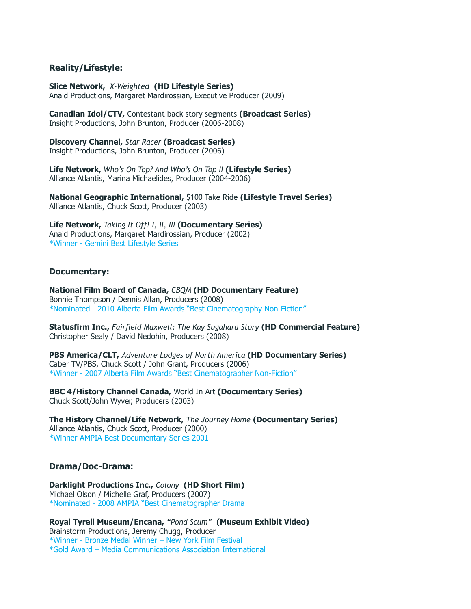#### **Reality/Lifestyle:**

**Slice Network,** *X-Weighted* **(HD Lifestyle Series)**  Anaid Productions, Margaret Mardirossian, Executive Producer (2009)

**Canadian Idol/CTV,** Contestant back story segments **(Broadcast Series)**  Insight Productions, John Brunton, Producer (2006-2008)

**Discovery Channel,** *Star Racer* **(Broadcast Series)**  Insight Productions, John Brunton, Producer (2006)

**Life Network,** *Who's On Top? And Who's On Top II* **(Lifestyle Series)**  Alliance Atlantis, Marina Michaelides, Producer (2004-2006)

**National Geographic International,** \$100 Take Ride **(Lifestyle Travel Series)** Alliance Atlantis, Chuck Scott, Producer (2003)

**Life Network,** *Taking It Off! I, II, III* **(Documentary Series)**  Anaid Productions, Margaret Mardirossian, Producer (2002) \*Winner - Gemini Best Lifestyle Series

#### **Documentary:**

**National Film Board of Canada,** *CBQM* **(HD Documentary Feature)** Bonnie Thompson / Dennis Allan, Producers (2008) \*Nominated - 2010 Alberta Film Awards "Best Cinematography Non-Fiction"

**Statusfirm Inc., Fairfield Maxwell: The Kay Sugahara Story (HD Commercial Feature)** Christopher Sealy / David Nedohin, Producers (2008)

**PBS America/CLT,** *Adventure Lodges of North America* **(HD Documentary Series)** Caber TV/PBS, Chuck Scott / John Grant, Producers (2006) \*Winner - 2007 Alberta Film Awards "Best Cinematographer Non-Fiction"

**BBC 4/History Channel Canada,** World In Art **(Documentary Series)** Chuck Scott/John Wyver, Producers (2003)

**The History Channel/Life Network,** *The Journey Home* **(Documentary Series)** Alliance Atlantis, Chuck Scott, Producer (2000) \*Winner AMPIA Best Documentary Series 2001

#### **Drama/Doc-Drama:**

**Darklight Productions Inc.,** *Colony* **(HD Short Film)** Michael Olson / Michelle Graf, Producers (2007) \*Nominated - 2008 AMPIA "Best Cinematographer Drama

**Royal Tyrell Museum/Encana,** *"Pond Scum"* **(Museum Exhibit Video)** Brainstorm Productions, Jeremy Chugg, Producer \*Winner - Bronze Medal Winner – New York Film Festival \*Gold Award – Media Communications Association International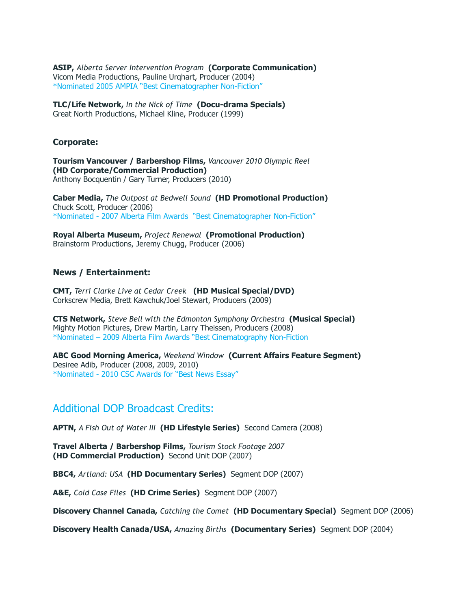**ASIP,** *Alberta Server Intervention Program* **(Corporate Communication)** Vicom Media Productions, Pauline Urqhart, Producer (2004) \*Nominated 2005 AMPIA "Best Cinematographer Non-Fiction"

**TLC/Life Network,** *In the Nick of Time* **(Docu-drama Specials)** Great North Productions, Michael Kline, Producer (1999)

#### **Corporate:**

**Tourism Vancouver / Barbershop Films,** *Vancouver 2010 Olympic Reel*  **(HD Corporate/Commercial Production)** Anthony Bocquentin / Gary Turner, Producers (2010)

**Caber Media,** *The Outpost at Bedwell Sound* **(HD Promotional Production)** Chuck Scott, Producer (2006) \*Nominated - 2007 Alberta Film Awards "Best Cinematographer Non-Fiction"

**Royal Alberta Museum,** *Project Renewal* **(Promotional Production)** Brainstorm Productions, Jeremy Chugg, Producer (2006)

#### **News / Entertainment:**

**CMT,** *Terri Clarke Live at Cedar Creek* **(HD Musical Special/DVD)** Corkscrew Media, Brett Kawchuk/Joel Stewart, Producers (2009)

**CTS Network,** *Steve Bell with the Edmonton Symphony Orchestra* **(Musical Special)** Mighty Motion Pictures, Drew Martin, Larry Theissen, Producers (2008) \*Nominated – 2009 Alberta Film Awards "Best Cinematography Non-Fiction

**ABC Good Morning America,** *Weekend Window* **(Current Affairs Feature Segment)** Desiree Adib, Producer (2008, 2009, 2010) \*Nominated - 2010 CSC Awards for "Best News Essay"

### Additional DOP Broadcast Credits:

**APTN,** *A Fish Out of Water III* **(HD Lifestyle Series)** Second Camera (2008)

**Travel Alberta / Barbershop Films,** *Tourism Stock Footage 2007*  **(HD Commercial Production)** Second Unit DOP (2007)

**BBC4,** *Artland: USA* **(HD Documentary Series)** Segment DOP (2007)

**A&E,** *Cold Case Files* **(HD Crime Series)** Segment DOP (2007)

**Discovery Channel Canada,** *Catching the Comet* **(HD Documentary Special)** Segment DOP (2006)

**Discovery Health Canada/USA,** *Amazing Births* **(Documentary Series)** Segment DOP (2004)